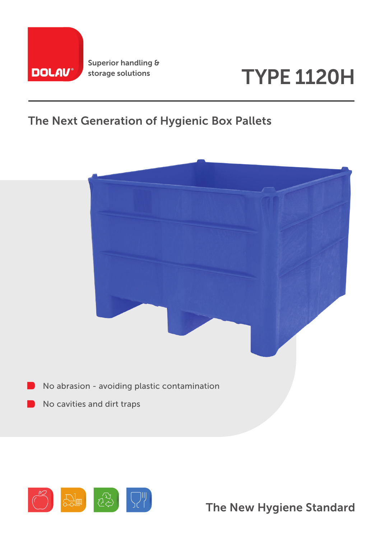

Superior handling & storage solutions

# TYPE 1120H

### The Next Generation of Hygienic Box Pallets





The New Hygiene Standard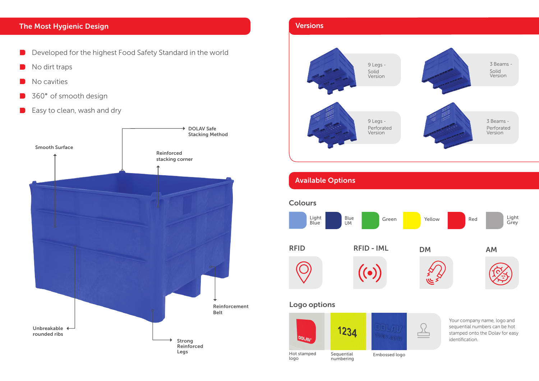- Developed for the highest Food Safety Standard in the world
- No dirt traps
- No cavities
- 1360° of smooth design
- Easy to clean, wash and dry

#### The Most Hygienic Design

# Versions 9 Legs - Solid Version 9 Legs - Perforated VersionAvailable Options **Colours** Light Blue Light Blue Blue Green Yellow Red<br>Blue UM Green Yellow Red U<sub>M</sub> RFID RFID-IML DM AM Logo options 1234 olay, com **DOLAU**

Your company name, logo and sequential numbers can be hot stamped onto the Dolav for easy identification.



Hot stamped Embossed logo logo Sequential numbering